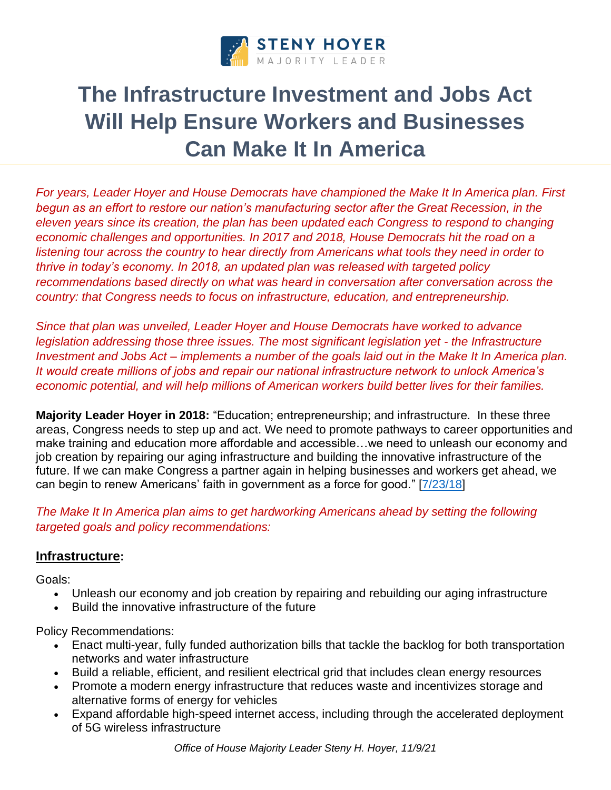

# **The Infrastructure Investment and Jobs Act Will Help Ensure Workers and Businesses Can Make It In America**

*For years, Leader Hoyer and House Democrats have championed the Make It In America plan. First*  begun as an effort to restore our nation's manufacturing sector after the Great Recession, in the *eleven years since its creation, the plan has been updated each Congress to respond to changing economic challenges and opportunities. In 2017 and 2018, House Democrats hit the road on a listening tour across the country to hear directly from Americans what tools they need in order to thrive in today's economy. In 2018, an updated plan was released with targeted policy recommendations based directly on what was heard in conversation after conversation across the country: that Congress needs to focus on infrastructure, education, and entrepreneurship.*

*Since that plan was unveiled, Leader Hoyer and House Democrats have worked to advance legislation addressing those three issues. The most significant legislation yet - the Infrastructure Investment and Jobs Act – implements a number of the goals laid out in the Make It In America plan. It would create millions of jobs and repair our national infrastructure network to unlock America's economic potential, and will help millions of American workers build better lives for their families.*

**Majority Leader Hoyer in 2018:** "Education; entrepreneurship; and infrastructure. In these three areas, Congress needs to step up and act. We need to promote pathways to career opportunities and make training and education more affordable and accessible…we need to unleash our economy and job creation by repairing our aging infrastructure and building the innovative infrastructure of the future. If we can make Congress a partner again in helping businesses and workers get ahead, we can begin to renew Americans' faith in government as a force for good." [\[7/23/18\]](https://www.majorityleader.gov/content/hoyer-delivers-speech-announcing-house-democrats%E2%80%99-updated-make-it-america-plan)

*The Make It In America plan aims to get hardworking Americans ahead by setting the following targeted goals and policy recommendations:*

## **Infrastructure:**

Goals:

- Unleash our economy and job creation by repairing and rebuilding our aging infrastructure
- Build the innovative infrastructure of the future

Policy Recommendations:

- Enact multi-year, fully funded authorization bills that tackle the backlog for both transportation networks and water infrastructure
- Build a reliable, efficient, and resilient electrical grid that includes clean energy resources
- Promote a modern energy infrastructure that reduces waste and incentivizes storage and alternative forms of energy for vehicles
- Expand affordable high-speed internet access, including through the accelerated deployment of 5G wireless infrastructure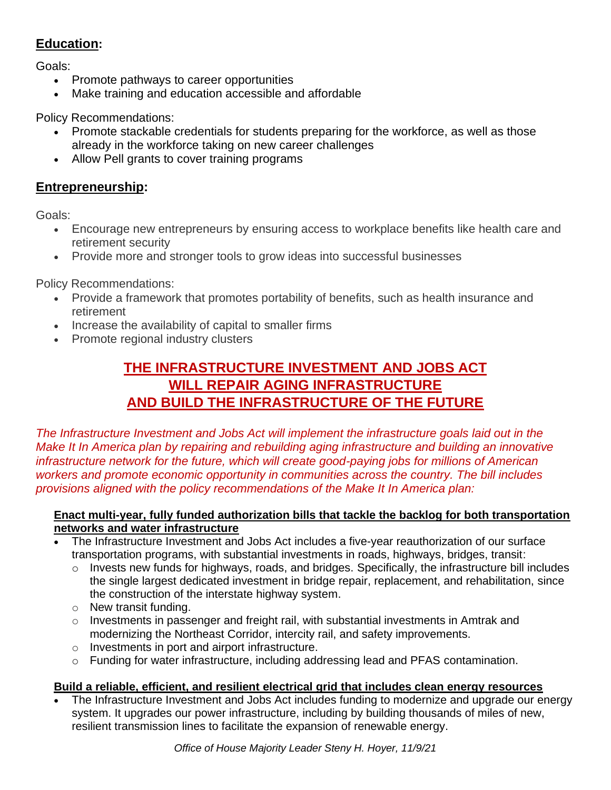# **Education:**

Goals:

- Promote pathways to career opportunities
- Make training and education accessible and affordable

Policy Recommendations:

- Promote stackable credentials for students preparing for the workforce, as well as those already in the workforce taking on new career challenges
- Allow Pell grants to cover training programs

## **Entrepreneurship:**

Goals:

- Encourage new entrepreneurs by ensuring access to workplace benefits like health care and retirement security
- Provide more and stronger tools to grow ideas into successful businesses

Policy Recommendations:

- Provide a framework that promotes portability of benefits, such as health insurance and retirement
- Increase the availability of capital to smaller firms
- Promote regional industry clusters

# **THE INFRASTRUCTURE INVESTMENT AND JOBS ACT WILL REPAIR AGING INFRASTRUCTURE AND BUILD THE INFRASTRUCTURE OF THE FUTURE**

*The Infrastructure Investment and Jobs Act will implement the infrastructure goals laid out in the Make It In America plan by repairing and rebuilding aging infrastructure and building an innovative infrastructure network for the future, which will create good-paying jobs for millions of American workers and promote economic opportunity in communities across the country. The bill includes provisions aligned with the policy recommendations of the Make It In America plan:*

#### **Enact multi-year, fully funded authorization bills that tackle the backlog for both transportation networks and water infrastructure**

- The Infrastructure Investment and Jobs Act includes a five-year reauthorization of our surface transportation programs, with substantial investments in roads, highways, bridges, transit:
	- $\circ$  Invests new funds for highways, roads, and bridges. Specifically, the infrastructure bill includes the single largest dedicated investment in bridge repair, replacement, and rehabilitation, since the construction of the interstate highway system.
	- o New transit funding.
	- $\circ$  Investments in passenger and freight rail, with substantial investments in Amtrak and modernizing the Northeast Corridor, intercity rail, and safety improvements.
	- o Investments in port and airport infrastructure.
	- $\circ$  Funding for water infrastructure, including addressing lead and PFAS contamination.

#### **Build a reliable, efficient, and resilient electrical grid that includes clean energy resources**

• The Infrastructure Investment and Jobs Act includes funding to modernize and upgrade our energy system. It upgrades our power infrastructure, including by building thousands of miles of new, resilient transmission lines to facilitate the expansion of renewable energy.